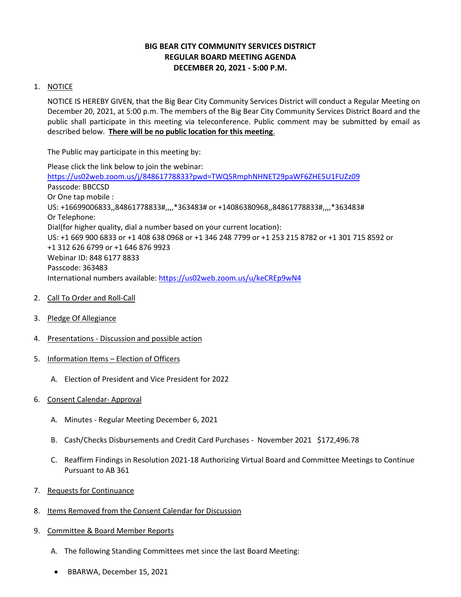# **BIG BEAR CITY COMMUNITY SERVICES DISTRICT REGULAR BOARD MEETING AGENDA DECEMBER 20, 2021 - 5:00 P.M.**

## 1. NOTICE

NOTICE IS HEREBY GIVEN, that the Big Bear City Community Services District will conduct a Regular Meeting on December 20, 2021, at 5:00 p.m. The members of the Big Bear City Community Services District Board and the public shall participate in this meeting via teleconference. Public comment may be submitted by email as described below. **There will be no public location for this meeting**.

The Public may participate in this meeting by:

Please click the link below to join the webinar: <https://us02web.zoom.us/j/84861778833?pwd=TWQ5RmphNHNET29paWF6ZHE5U1FUZz09> Passcode: BBCCSD Or One tap mobile : US: +16699006833,,84861778833#,,,,\*363483# or +14086380968,,84861778833#,,,,\*363483# Or Telephone: Dial(for higher quality, dial a number based on your current location): US: +1 669 900 6833 or +1 408 638 0968 or +1 346 248 7799 or +1 253 215 8782 or +1 301 715 8592 or +1 312 626 6799 or +1 646 876 9923 Webinar ID: 848 6177 8833 Passcode: 363483 International numbers available:<https://us02web.zoom.us/u/keCREp9wN4>

- 2. Call To Order and Roll-Call
- 3. Pledge Of Allegiance
- 4. Presentations Discussion and possible action
- 5. Information Items Election of Officers
	- A. Election of President and Vice President for 2022
- 6. Consent Calendar- Approval
	- A. Minutes Regular Meeting December 6, 2021
	- B. Cash/Checks Disbursements and Credit Card Purchases November 2021 \$172,496.78
	- C. Reaffirm Findings in Resolution 2021-18 Authorizing Virtual Board and Committee Meetings to Continue Pursuant to AB 361
- 7. Requests for Continuance
- 8. Items Removed from the Consent Calendar for Discussion
- 9. Committee & Board Member Reports
	- A. The following Standing Committees met since the last Board Meeting:
	- BBARWA, December 15, 2021